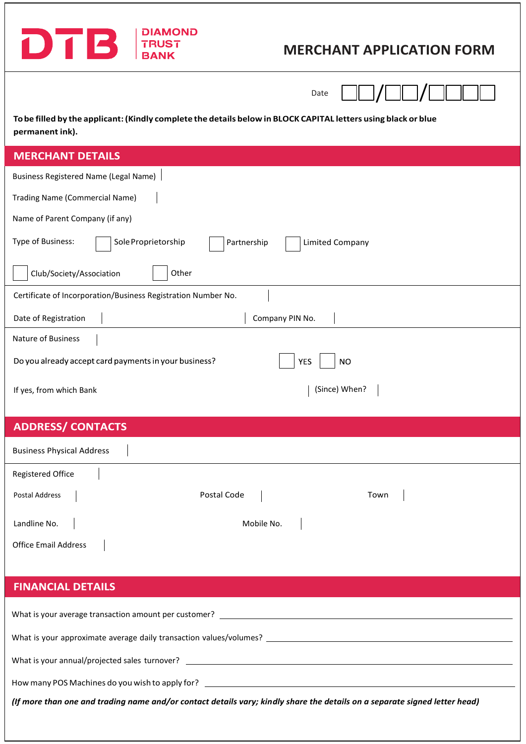

# **MERCHANT APPLICATION FORM**

Date  $\Box\Box / \Box\Box / \Box \Box \Box$ 

To be filled by the applicant: (Kindly complete the details below in BLOCK CAPITAL letters using black or blue **permanent ink).**

## **MERCHANT DETAILS**

| <b>Business Registered Name (Legal Name)</b>                               |  |  |  |  |
|----------------------------------------------------------------------------|--|--|--|--|
| Trading Name (Commercial Name)                                             |  |  |  |  |
| Name of Parent Company (if any)                                            |  |  |  |  |
| Type of Business:<br>Sole Proprietorship<br>Partnership<br>Limited Company |  |  |  |  |
| Club/Society/Association<br>Other                                          |  |  |  |  |
| Certificate of Incorporation/Business Registration Number No.              |  |  |  |  |
| Company PIN No.<br>Date of Registration                                    |  |  |  |  |
| Nature of Business                                                         |  |  |  |  |
| Do you already accept card payments in your business?<br>YES<br>NO.        |  |  |  |  |
| (Since) When?<br>If yes, from which Bank                                   |  |  |  |  |
|                                                                            |  |  |  |  |

# **ADDRESS/CONTACTS**

| <b>Business Physical Address</b> |             |      |
|----------------------------------|-------------|------|
| Registered Office                |             |      |
| Postal Address                   | Postal Code | Town |
| Landline No.                     | Mobile No.  |      |
| <b>Office Email Address</b>      |             |      |

### **FINANCIAL DETAILS**

| What is your average transaction amount per customer?                                                                                                                   |
|-------------------------------------------------------------------------------------------------------------------------------------------------------------------------|
| What is your approximate average daily transaction values/volumes?                                                                                                      |
| What is your annual/projected sales turnover?                                                                                                                           |
| How many POS Machines do you wish to apply for?<br><u> 1980 - Jan Sterling von de Sterling von de Sterling von de Sterling von de Sterling von de Sterling von de S</u> |

*(If more than one and trading name and/or contact details vary; kindly share the details on a separate signed letter head)*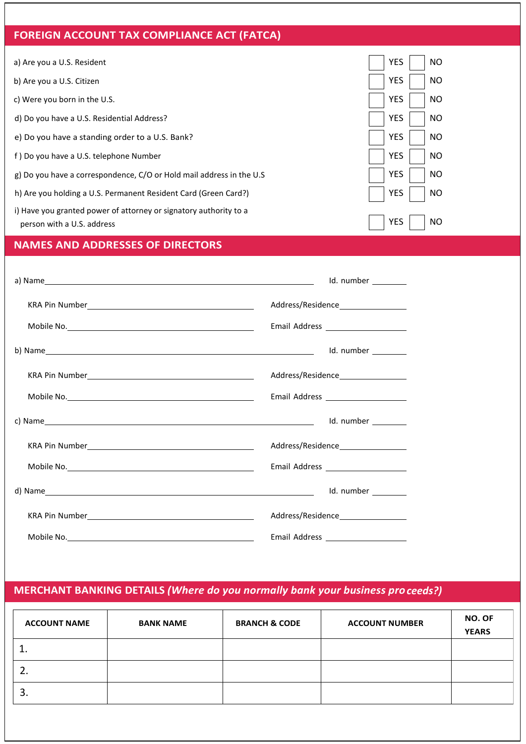### **FOREIGN ACCOUNT TAX COMPLIANCE ACT (FATCA)**

a) Are you a U.S. Resident

- b) Are you a U.S. Citizen
- c) Were you born in the U.S.
- d) Do you have a U.S. Residential Address?
- e) Do you have a standing order to a U.S. Bank?
- f ) Do you have a U.S. telephone Number
- g) Do you have a correspondence, C/O or Hold mail address in the U.S
- h) Are you holding a U.S. Permanent Resident Card (Green Card?)
- i) Have you granted power of attorney or signatory authority to a person with a U.S. address

| <b>YES</b> | NΟ |
|------------|----|
| <b>YES</b> | ΝO |
| <b>YES</b> | NΟ |
| <b>YES</b> | NΟ |
| <b>YES</b> | NΟ |
| <b>YES</b> | NΟ |
| <b>YES</b> | NΟ |
| <b>YES</b> | NΟ |
| <b>YES</b> | NΩ |

### **NAMES AND ADDRESSES OF DIRECTORS**

|                                                                                                                                                                                                                                      | Id. number                            |
|--------------------------------------------------------------------------------------------------------------------------------------------------------------------------------------------------------------------------------------|---------------------------------------|
| KRA Pin Number <b>National According Contract Contract Contract Contract Contract Contract Contract Contract Contract Contract Contract Contract Contract Contract Contract Contract Contract Contract Contract Contract Contrac</b> | Address/Residence____________________ |
|                                                                                                                                                                                                                                      | Email Address _____________________   |
|                                                                                                                                                                                                                                      |                                       |
|                                                                                                                                                                                                                                      | Address/Residence__________________   |
|                                                                                                                                                                                                                                      | Email Address ______________________  |
|                                                                                                                                                                                                                                      |                                       |
|                                                                                                                                                                                                                                      |                                       |
|                                                                                                                                                                                                                                      | Email Address _____________________   |
|                                                                                                                                                                                                                                      | Id. number _________                  |
|                                                                                                                                                                                                                                      | Address/Residence___________________  |
| Mobile No. 2008 and 2008 and 2008 and 2008 and 2008 and 2008 and 2008 and 2008 and 2008 and 2008 and 2008 and                                                                                                                        |                                       |

### **MERCHANT BANKING DETAILS** *(Where do you normally bank your business proceeds?)*

| <b>ACCOUNT NAME</b> | <b>BANK NAME</b> | <b>BRANCH &amp; CODE</b> | <b>ACCOUNT NUMBER</b> | <b>NO. OF</b><br><b>YEARS</b> |
|---------------------|------------------|--------------------------|-----------------------|-------------------------------|
| ∸                   |                  |                          |                       |                               |
| z.                  |                  |                          |                       |                               |
| 3.                  |                  |                          |                       |                               |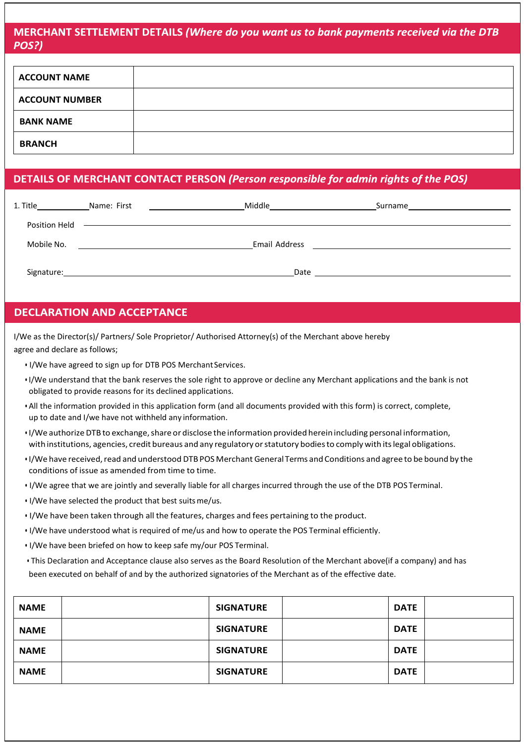### MERCHANT SETTLEMENT DETAILS (Where do you want us to bank payments received via the DTB POS?)

| <b>ACCOUNT NAME</b>   |  |
|-----------------------|--|
| <b>ACCOUNT NUMBER</b> |  |
| <b>BANK NAME</b>      |  |
| <b>BRANCH</b>         |  |

### DETAILS OF MERCHANT CONTACT PERSON (Person responsible for admin rights of the POS)

| 1. Title      | <b>Name: First</b> | Middle<br>the control of the control of the control of |                                     |  |
|---------------|--------------------|--------------------------------------------------------|-------------------------------------|--|
| Position Held |                    |                                                        |                                     |  |
| Mobile No.    |                    | Email Address                                          | the contract of the contract of the |  |
| Signature:    |                    | Date                                                   |                                     |  |

### **DECLARATION AND ACCEPTANCE**

I/We as the Director(s)/ Partners/ Sole Proprietor/ Authorised Attorney(s) of the Merchant above hereby agree and declare as follows;

- I/We have agreed to sign up for DTB POS MerchantServices.
- I/We understand that the bank reserves the sole right to approve or decline any Merchant applications and the bank is not obligated to provide reasons for its declined applications.
- All the information provided in this application form (and all documents provided with this form) is correct, complete, up to date and I/we have not withheld any information.
- I/We authorizeDTB to exchange,share or disclose the information provided herein including personal information, with institutions, agencies, credit bureaus and any regulatory orstatutory bodiesto comply with itslegal obligations.
- I/We have received, read and understood DTB POS Merchant General Terms and Conditions and agree to be bound by the conditions of issue as amended from time to time.
- I/We agree that we are jointly and severally liable for all charges incurred through the use of the DTB POS Terminal.
- I/We have selected the product that best suitsme/us.
- I/We have been taken through all the features, charges and fees pertaining to the product.
- I/We have understood what is required of me/us and how to operate the POS Terminal efficiently.
- I/We have been briefed on how to keep safe my/our POS Terminal.
- This Declaration and Acceptance clause also serves as the Board Resolution of the Merchant above(if a company) and has been executed on behalf of and by the authorized signatories of the Merchant as of the effective date.

| <b>NAME</b> | <b>SIGNATURE</b> | <b>DATE</b> |  |
|-------------|------------------|-------------|--|
| <b>NAME</b> | <b>SIGNATURE</b> | <b>DATE</b> |  |
| <b>NAME</b> | <b>SIGNATURE</b> | <b>DATE</b> |  |
| <b>NAME</b> | <b>SIGNATURE</b> | <b>DATE</b> |  |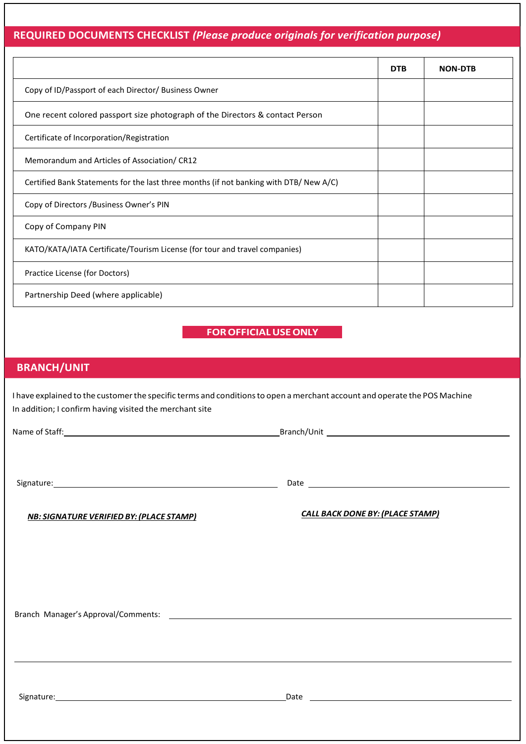### **REQUIRED DOCUMENTS CHECKLIST** *(Please produce originals for verification purpose)*

|                                                                                        | <b>DTB</b> | <b>NON-DTB</b> |
|----------------------------------------------------------------------------------------|------------|----------------|
| Copy of ID/Passport of each Director/ Business Owner                                   |            |                |
| One recent colored passport size photograph of the Directors & contact Person          |            |                |
| Certificate of Incorporation/Registration                                              |            |                |
| Memorandum and Articles of Association/CR12                                            |            |                |
| Certified Bank Statements for the last three months (if not banking with DTB/ New A/C) |            |                |
| Copy of Directors /Business Owner's PIN                                                |            |                |
| Copy of Company PIN                                                                    |            |                |
| KATO/KATA/IATA Certificate/Tourism License (for tour and travel companies)             |            |                |
| Practice License (for Doctors)                                                         |            |                |
| Partnership Deed (where applicable)                                                    |            |                |

**FOROFFICIALUSEONLY**

### **BRANCH/UNIT**

I have explained to the customer the specific terms and conditions to open a merchant account and operate the POS Machine In addition; I confirm having visited the merchant site

Name of Staff: Branch/Unit Branch/Unit Branch/Unit Branch/Unit Branch/Unit Branch/Unit Branch Branch Branch Branch Branch Branch Branch Branch Branch Branch Branch Branch Branch Branch Branch Branch Branch Branch Branch Br

Signature: 2000 Contract Contract Contract Contract Contract Contract Contract Contract Contract Contract Contract Contract Contract Contract Contract Contract Contract Contract Contract Contract Contract Contract Contract

*NB: SIGNATURE VERIFIED BY:(PLACE STAMP) CALL BACK DONE BY:(PLACE STAMP)*

Branch Manager's Approval/Comments:

Signature: Date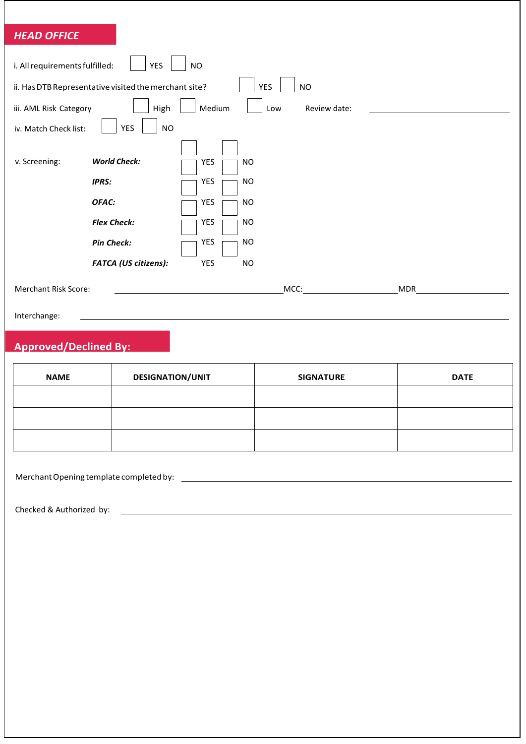### *HEAD OFFICE*

| i. All requirements fulfilled:<br><b>NO</b><br><b>YES</b> |                                                       |        |            |              |  |            |  |
|-----------------------------------------------------------|-------------------------------------------------------|--------|------------|--------------|--|------------|--|
|                                                           | ii. Has DTB Representative visited the merchant site? |        | <b>YES</b> | <b>NO</b>    |  |            |  |
| iii. AML Risk Category                                    | High                                                  | Medium | Low        | Review date: |  |            |  |
| iv. Match Check list:                                     | <b>YES</b><br><b>NO</b>                               |        |            |              |  |            |  |
|                                                           | <b>World Check:</b>                                   |        |            |              |  |            |  |
| v. Screening:                                             |                                                       | YES    | <b>NO</b>  |              |  |            |  |
|                                                           | <b>IPRS:</b>                                          | YES    | <b>NO</b>  |              |  |            |  |
|                                                           | OFAC:                                                 | YES    | <b>NO</b>  |              |  |            |  |
|                                                           | <b>Flex Check:</b>                                    | YES    | <b>NO</b>  |              |  |            |  |
|                                                           | <b>Pin Check:</b>                                     | YES    | <b>NO</b>  |              |  |            |  |
|                                                           | <b>FATCA (US citizens):</b>                           | YES    | <b>NO</b>  |              |  |            |  |
| <b>Merchant Risk Score:</b>                               |                                                       |        |            | MCC:         |  | <b>MDR</b> |  |
| Interchange:                                              |                                                       |        |            |              |  |            |  |
| <b>Approved/Declined By:</b>                              |                                                       |        |            |              |  |            |  |

| <b>NAME</b> | <b>DESIGNATION/UNIT</b> | <b>SIGNATURE</b> | <b>DATE</b> |
|-------------|-------------------------|------------------|-------------|
|             |                         |                  |             |
|             |                         |                  |             |
|             |                         |                  |             |

MerchantOpening template completedby:

Checked & Authorized by: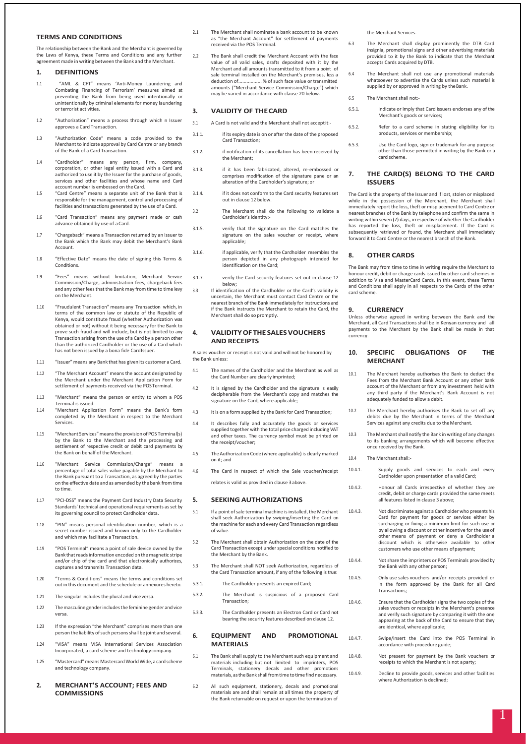#### **TERMS AND CONDITIONS**

The relationship between the Bank and the Merchant is governed by the Laws of Kenya, these Terms and Conditions and any further agreement made in writing between the Bank and the Merchant.

#### **1. DEFINITIONS**

- 1.1 "AML & CFT" means 'Anti-Money Laundering and Combating Financing of Terrorism' measures aimed at preventing the Bank from being used intentionally or unintentionally by criminal elements for money laundering or terrorist activities.
- 1.2 "Authorization" means a process through which n Issuer approves a Card Transaction.
- 1.3 "Authorization Code" means a code provided to the Merchant to indicate approval by Card Centre or any branch of the Bank of a Card Transaction.
- 1.4 "Cardholder" means any person, firm, company, corporation, or other legal entity issued with a Card and authorized to use it by the Issuer for the purchase of goods, services and other facilities and whose name and Card account number is embossed on the Card.
- 1.5 "Card Centre" means a separate unit of the Bank that is responsible for the management, control and processing of facilities and transactions generated by the use of a Card.
- 1.6 "Card Transaction" means any payment made or cash advance obtained by use of a Card.
- 1.7 "Chargeback" means a Transaction returned by an Issuer to the Bank which the Bank may debit the Merchant's Bank Account.
- 1.8 "Effective Date" means the date of signing this Terms & Conditions.
- 1.9 "Fees" means without limitation, Merchant Service Commission/Charge, administration fees, chargeback fees and any other fees that the Bank may from time to time levy on the Merchant.
- 1.10 "Fraudulent Transaction" means any Transaction which, in terms of the common law or statute of the Republic of Kenya, would constitute fraud (whether Authorization was obtained or not) without it being necessary for the Bank to prove such fraud and will include, but is not limited to any Transaction arising from the use of a Card by a person other than the authorized Cardholder or the use of a Card which has not been issued by a bona fide CardIssuer.
- 1.11 "Issuer" means any Bank that has given its customer a Card.
- 1.12 "The Merchant Account" means the account designated by the Merchant under the Merchant Application Form for settlement of payments received via the POSTerminal.
- 1.13 "Merchant" means the person or entity to whom a POS Terminal is issued.
- 1.14 "Merchant Application Form" means the Bank's form completed by the Merchant in respect to the Merchant Services.
- 1.15 "Merchant Services"meansthe provision of POS Terminal(s) by the Bank to the Merchant and the processing and settlement of respective credit or debit card payments by the Bank on behalf of the Merchant.
- 1.16 "Merchant Service Commission/Charge" means percentage of total sales value payable by the Merchant to the Bank pursuant to a Transaction, as agreed by the parties on the effective date and as amended by the bank from time to time.
- 1.17 "PCI-DSS" means the Payment Card Industry Data Security Standards' technical and operational requirements asset by its governing council to protect Cardholder data.
- 1.18 "PIN" means personal identification number, which is a secret number issued and known only to the Cardholder and which may facilitate a Transaction.
- 1.19 "POS Terminal" means a point of sale device owned by the Bank thatreadsinformation encoded on the magnetic stripe and/or chip of the card and that electronically authorizes, captures and transmits Transaction data.
- 1.20 "Terms & Conditions" means the terms and conditions set out in this document and the schedule or annexures hereto.
- 1.21 The singular includes the plural and viceversa.
- 1.22 The masculine gender includes the feminine gender and vice versa.
- 1.23 If the expression "the Merchant" comprises more than one person the liability of such persons shall be joint and several.
- 1.24 "VISA" means VISA International Services Association Incorporated, a card scheme and technologycompany.
- 1.25 "Mastercard" means Mastercard World Wide, a card scheme and technology company.
- **2. MERCHANT'S ACCOUNT; FEES AND COMMISSIONS**
- 2.1 The Merchant shall nominate a bank account to be known as "the Merchant Account" for settlement of payments received via the POS Terminal.
- 2.2 The Bank shall credit the Merchant Account with the face value of all valid sales, drafts deposited with it by the Merchant and all amounts transmitted to it from a point of sale terminal installed on the Merchant's premises, less a deduction of ................. % of such face value or transmitted ....% of such face value or transmitted amounts ("Merchant Service Commission/Charge") which may be varied in accordance with clause 20 below

#### **3. VALIDITY OF THECARD**

- 3.1 A Card is not valid and the Merchant shall not acceptit:-
- 3.1.1. if its expiry date is on or after the date of the proposed Card Transaction;
- 3.1.2. if notification of its cancellation has been received by the Merchant;
- 3.1.3. if it has been fabricated, altered, re-embossed or comprises modification of the signature pane or an alteration of the Cardholder's signature; or
- 3.1.4. if it does not conform to the Card security features set out in clause 12 below.
- 3.2 The Merchant shall do the following to validate a Cardholder's identity:-
- 3.1.5. verify that the signature on the Card matches the signature on the sales voucher or receipt, where applicable;
- 3.1.6. if applicable, verify that the Cardholder resembles the person depicted in any photograph intended for identification on the Card;
- 3.1.7. verify the Card security features set out in clause 12
- below; 3.3 If identification of the Cardholder or the Card's validity is uncertain, the Merchant must contact Card Centre or the nearest branch of the Bank immediately for instructions and if the Bank instructs the Merchant to retain the Card, the Merchant shall do so promptly.

#### **4. VALIDITYOFTHESALESVOUCHERS AND RECEIPTS**

A sales voucher or receipt is not valid and will not be honored by the Bank unless:

- 4.1 The names of the Cardholder and the Merchant as well as the Card Number are clearly imprinted;
- 4.2 It is signed by the Cardholder and the signature is easily decipherable from the Merchant's copy and matches the signature on the Card, where applicable;
- 4.3 It is on a form supplied by the Bank for Card Transaction;
- 4.4 It describes fully and accurately the goods or services supplied together with the total price charged including VAT and other taxes. The currency symbol must be printed on the receipt/voucher;
- 4.5 TheAuthorization Code (where applicable) is clearly marked on it; and
- 4.6 The Card in respect of which the Sale voucher/receipt relates is valid as provided in clause 3above.

#### **5. SEEKING AUTHORIZATIONS**

- 5.1 If a point ofsale terminal machine isinstalled, the Merchant shall seek Authorization by swiping/inserting the Card on the machine for each and every Card Transaction regardless of value.
- 5.2 The Merchant shall obtain Authorization on the date of the Card Transaction except underspecial conditions notified to the Merchant by the Bank.
- 5.3 The Merchant shall NOT seek Authorization, regardless of the Card Transaction amount, if any of the following is true:
- 5.3.1. The Cardholder presents an expired Card;
- 5.3.2. The Merchant is suspicious of a proposed Card Transaction;
- 5.3.3. The Cardholder presents an Electron Card or Card not bearing the security features described on clause 12.

#### **6. EQUIPMENT AND PROMOTIONAL MATERIALS**

- 6.1 The Bank shall supply to the Merchant such equipment and materials including but not limited to imprinters, POS Terminals, stationery decals and other promotions materials,asthe Bank shallfromtime totimefind necessary.
- 6.2 All such equipment, stationery, decals and promotional materials are and shall remain at all times the property of the Bank returnable on request or upon the termination of

the Merchant Services.

- 6.3 The Merchant shall display prominently the DTB Card insignia, promotional signs and other advertising materials provided to it by the Bank to indicate that the Merchant accepts Cards acquired by DTB.
- 6.4 The Merchant shall not use any promotional materials whatsoever to advertise the Cards unless such material is supplied by or approved in writing by theBank.
- 6.5 The Merchant shall not:-
- 6.5.1. Indicate or imply that Card issuers endorses any of the Merchant's goods or services:
- 6.5.2. Refer to a card scheme in stating eligibility for its products, services or membership;
- 6.5.3. Use the Card logo, sign or trademark for any purpose other than those permitted in writing by the Bank or a card scheme.

#### **7. THE CARD(S) BELONG TO THE CARD ISSUERS**

The Card is the property of the Issuer and if lost, stolen or misplaced while in the possession of the Merchant, the Merchant shall immediately report the loss, theft or misplacement to Card Centre or nearest branches of the Bank by telephone and confirm the same in writing within seven (7) days, irrespective of whether the Cardholder has reported the loss, theft or misplacement. If the Card is subsequently retrieved or found, the Merchant shall immediately forward it to Card Centre or the nearest branch of the Bank.

### **8. OTHER CARDS**

The Bank may from time to time in writing require the Merchant to honour credit, debit or charge cards issued by other card schemes in addition to Visa and MasterCard Cards. In this event, these Terms and Conditions shall apply in all respects to the Cards of the other card scheme.

#### **9. CURRENCY**

Unless otherwise agreed in writing between the Bank and the Merchant, all Card Transactions shall be in Kenyan currency and all payments to the Merchant by the Bank shall be made in that currency.

#### **10. SPECIFIC OBLIGATIONS OF THE MERCHANT**

- 10.1 The Merchant hereby authorises the Bank to deduct the Fees from the Merchant Bank Account or any other bank account of the Merchant or from any investment held with any third party if the Merchant's Bank Account is not adequately funded to allow a debit.
- 10.2 The Merchant hereby authorises the Bank to set off any debits due by the Merchant in terms of the Merchant Services against any credits due to the Merchant.
- 10.3 The Merchantshall notify the Bank in writing of any changes to its banking arrangements which will become effective once received by the Bank.
- 10.4 The Merchant shall:-
- 10.4.1. Supply goods and services to each and every ardholder upon presentation of a valid Card;
- 10.4.2. Honour all Cards irrespective of whether they are credit, debit or charge cards provided the same meets all features listed in clause 3 above;
- 10.4.3. Not discriminate against a Cardholder who presents his Card for payment for goods or services either by surcharging or fixing a minimum limit for such use or by allowing a discount or other incentive for the use of other means of payment or deny a Cardholder a discount which is otherwise available to other customers who use other means of payment:
- 10.4.4. Notshare the imprinters or POS Terminals provided by the Bank with any other person;
- 10.4.5. Only use sales vouchers and/or receipts provided or in the form approved by the Bank for all Card Transactions;
- 10.4.6. Ensure that the Cardholder signs the two copies of the sales vouchers or receipts in the Merchant's presence and verify such signature by comparing it with the one appearing at the back of the Card to ensure that they are identical, where applicable;
- 10.4.7. Swipe/insert the Card into the POS Terminal in accordance with procedure guide;
- 10.4.8. Not present for payment by the Bank vouchers or receipts to which the Merchant is not aparty;
- 10.4.9. Decline to provide goods, services and other facilities where Authorization is declined;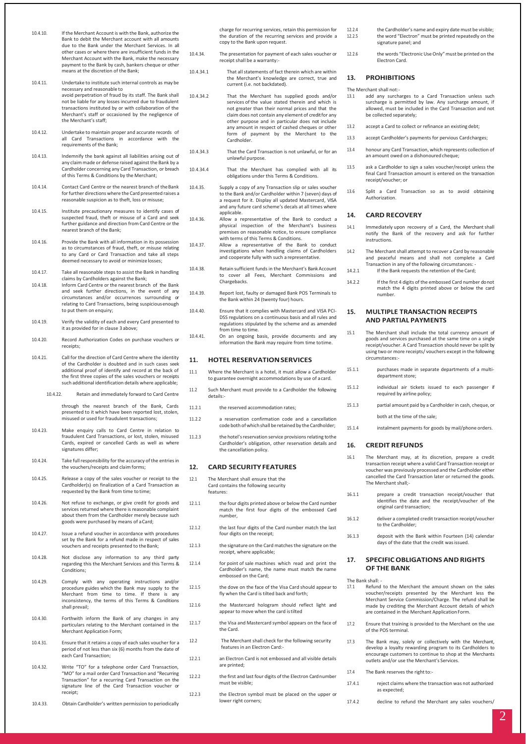- 10.4.10. If the Merchant Account is with the Bank, authorize the Bank to debit the Merchant account with all amounts due to the Bank under the Merchant Services. In all other cases or where there are insufficient funds in the Merchant Account with the Bank, make the necessary payment to the Bank by cash, bankers cheque or other means at the discretion of the Bank;
- 10.4.11. Undertake to institute such internal controls as may be necessary and reasonable to avoid perpetration of fraud by its staff. The Bank shall not be liable for any losses incurred due to fraudulent transactions instituted by or with collaboration of the Merchant's staff or occasioned by the negligence of the Merchant's staff;
- 10.4.12. Undertake to maintain proper and accurate records of all Card Transactions in accordance with the requirements of the Bank;
- 10.4.13. Indemnify the bank against all liabilities arising out of any claim made or defense raised against the Bank by a Cardholder concerning any Card Transaction, or breach of this Terms & Conditions by the Merchant;
- 10.4.14. Contact Card Centre or the nearest branch of theBank for further directions where the Card presented raises a reasonable suspicion as to theft, loss or misuse;
- 10.4.15. Institute precautionary measures to identify cases of suspected fraud, theft or misuse of a Card and seek further guidance and direction from Card Centre or the nearest branch of the Bank;
- 10.4.16. Provide the Bank with all information in its possession as to circumstances of fraud, theft, or misuse relating to any Card or Card Transaction and take all steps deemed necessary to avoid or minimize losses;
- 10.4.17. Take all reasonable steps to assist the Bank in handling claims by Cardholders against the Bank; 10.4.18. Inform Card Centre or the nearest branch of the Bank
- and seek further directions, in the event of any circumstances and/or occurrences surrounding or relating to Card Transactions, being suspiciousenough to put them on enquiry;
- 10.4.19. Verify the validity of each and every Card presented to it as provided for in clause 3 above;
- 10.4.20. Record Authorization Codes on purchase vouchers or receipts;
- 10.4.21. Call for the direction of Card Centre where the identity of the Cardholder is doubted and in such cases seek additional proof of identify and record at the back of the first three copies of the sales vouchers or receipts such additional identification details where applicable;
	- 10.4.22. Retain and immediately forward to Card Centre through the nearest branch of the Bank, Cards

presented to it which have been reported lost, stolen, misused or used for fraudulent transactions;

- 10.4.23. Make enquiry calls to Card Centre in relation to fraudulent Card Transactions, or lost, stolen, misused Cards, expired or cancelled Cards as well as where signatures differ;
- 10.4.24. Take full responsibility for the accuracy of the entries in the vouchers/receipts and claim forms;
- 10.4.25. Release a copy of the sales voucher or receipt to the Cardholder(s) on finalization of a Card Transaction as requested by the Bank from time to time;
- 10.4.26. Not refuse to exchange, or give credit for goods and services returned where there is reasonable complaint about them from the Cardholder merely because such goods were purchased by means of aCard;
- 10.4.27. Issue a refund voucher in accordance with procedures set by the Bank for a refund made in respect of sales vouchers and receipts presented to the Bank;
- 10.4.28. Not disclose any information to any third party regarding this the Merchant Services and this Terms & Conditions;
- 10.4.29. Comply with any operating instructions and/or procedure guides which the Bank may supply to the Merchant from time to time. If there is any inconsistency, the terms of this Terms & Conditions shall prevail;
- 10.4.30. Forthwith inform the Bank of any changes in any particulars relating to the Merchant contained in the Merchant Application Form;
- 10.4.31. Ensure that it retains a copy of each sales voucher for a period of not less than six (6) months from the date of each Card Transaction;
- 10.4.32. Write "TO" for a telephone order Card Transaction, "MO" for a mail order Card Transaction and "Recurring Transaction" for a recurring Card Transaction on the signature line of the Card Transaction voucher or receipt;

10.4.33. Obtain Cardholder's written permission to periodically

charge for recurring services, retain this permission for the duration of the recurring services and provide a copy to the Bank upon request.

- 10.4.34. The presentation for payment of each sales voucher or receipt shall be a warranty:-
- 10.4.34.1 That allstatements of fact therein which are within the Merchant's knowledge are correct, true and current (i.e. not backdated).
- 10.4.34.2 That the Merchant has supplied goods and/or services of the value stated therein and which is not greater than their normal prices and that the claim does not contain any element of credit for any other purpose and in particular does not include any amount in respect of cashed cheques or other form of payment by the Merchant to the Cardholder.
- 10.4.34.3 That the Card Transaction is not unlawful, or for an unlawful purpose.
- 10.4.34.4 That the Merchant has complied with all its obligations under this Terms & Conditions.
- 10.4.35. Supply a copy of any Transaction slip or sales voucher to the Bank and/or Cardholder within 7 (seven) days of a request for it. Display all updated Mastercard, VISA and any future card scheme's decals at all times where applicable.
- 10.4.36. Allow a representative of the Bank to conduct a physical inspection of the Merchant's business premises on reasonable notice, to ensure compliance with terms of this Terms & Conditions.
- 10.4.37. Allow a representative of the Bank to conduct investigations when handling claims of Cardholders and cooperate fully with such a representative.
- 10.4.38. Retain sufficient funds in the Merchant's Bank Account to cover all Fees, Merchant Commissions and Chargebacks.
- 10.4.39. Report lost, faulty or damaged Bank POS Terminals to the Bank within 24 (twenty four) hours.
- 10.4.40. Ensure that it complies with Mastercard and VISA PCI-DSS regulations on a continuous basis and all rules and regulations stipulated by the scheme and as amended from time to time.
- 10.4.41. On an ongoing basis, provide documents and any information the Bank may require from time totime.

#### **11. HOTEL RESERVATIONSERVICES**

- 11.1 Where the Merchant is a hotel, it must allow a Cardholder to guarantee overnight accommodations by use of acard.
- 11.2 Such Merchant must provide to a Cardholder the following details:-
- 11.2.1 the reserved accommodation rates:
- 11.2.2 a reservation confirmation code and a cancellation code both ofwhich shall be retained by the Cardholder;
- 11.2.3 the hotel's reservation service provisions relating to the Cardholder's obligation, other reservation details and the cancellation policy.

#### **12. CARD SECURITYFEATURES**

- 12.1 The Merchant shall ensure that the Card contains the following security features:
- 12.1.1 the four digits printed above or below the Card number match the first four digits of the embossed Card number,
- 12.1.2 the last four digits of the Card number match the last four digits on the receipt;
- 12.1.3 the signature on the Card matchesthe signature on the receipt, where applicable;
- 12.1.4 for point of sale machines which read and print the Cardholder's name, the name must match the name embossed on the Card;
- 12.1.5 the dove on the face of the Visa Card should appear to fly when the Card is tilted back and forth;
- 12.1.6 the Mastercard hologram should reflect light and appear to move when the card istilted
- 12.1.7 the Visa and Mastercard symbol appears on the face of the Card.
- 12.2 The Merchant shall check for the following security features in an Electron Card:-
- 12.2.1 an Electron Card is not embossed and all visible details are printed;
- 12.2.2 the first and last four digits of the Electron Card number must be visible;
- 12.2.3 the Electron symbol must be placed on the upper or lower right corners;
- 12.2.4 the Cardholder's name and expiry date must be visible;<br>12.2.5 the word "Flectron" must be printed repeatedly on the the word "Electron" must be printed repeatedly on the signature panel; and
- 12.2.6 the words "Electronic Use Only" must be printed on the Electron Card.

#### **13. PROHIBITIONS**

- The Merchant shall not:<br>13.1 add any surch add any surcharges to a Card Transaction unless such surcharge is permitted by law. Any surcharge amount, if allowed, must be included in the Card Transaction and not be collected separately;
- 13.2 accept a Card to collect or refinance an existing debt;
- 13.3 accept Cardholder's payments for pervious Cardcharges;
- 13.4 honour any Card Transaction, which represents collection of an amount owed on a dishonoured cheque;
- 13.5 ask a Cardholder to sign a sales voucher/receipt unless the final Card Transaction amount is entered on the transaction receipt/voucher; or
- 13.6 Split a Card Transaction so as to avoid obtaining Authorization.

#### **14. CARD RECOVERY**

- 14.1 Immediately upon recovery of a Card, the Merchant shall notify the Bank of the recovery and ask for further instructions.
- 14.2 The Merchant shall attempt to recover a Card by reasonable and peaceful means and shall not complete a Card Transaction in any of the following circumstances: - 14.2.1 If the Bank requests the retention of the Card;
- 14.2.2 If the first 4 digits of the embossed Card number do not match the 4 digits printed above or below the card number.

#### **15. MULTIPLE TRANSACTION RECEIPTS AND PARTIAL PAYMENTS**

- 15.1 The Merchant shall include the total currency amount of goods and services purchased at the same time on a single receipt/voucher. A Card Transaction should never be split by using two or more receipts/ vouchers except in the following circumstances:-
- 15.1.1 purchases made in separate departments of a multidepartment store;
- 15.1.2 individual air tickets issued to each passenger if required by airline policy;
- 15.1.3 partial amount paid by a Cardholder in cash, cheque, or
	- both at the time of the sale;
- 15.1.4 instalment payments for goods by mail/phone orders.

#### **16. CREDIT REFUNDS**

- 16.1 The Merchant may, at its discretion, prepare a credit transaction receipt where a valid Card Transaction receipt or voucher was previously processed and the Cardholder either cancelled the Card Transaction later or returned the goods. The Merchant shall;-
- 16.1.1 prepare a credit transaction receipt/voucher that identifies the date and the receipt/voucher of the original card transaction;
- 16.1.2 deliver a completed credit transaction receipt/voucher to the Cardholder;
- 16.1.3 deposit with the Bank within Fourteen (14) calendar days of the date that the credit wasissued.

#### **17. SPECIFICOBLIGATIONS ANDRIGHTS OF THE BANK**

The Bank shall:<br>17.1 Refund

- 17.1 Refund to the Merchant the amount shown on the sales voucher/receipts presented by the Merchant less the Merchant Service Commission/Charge. The refund shall be made by crediting the Merchant Account details of which are contained in the Merchant Application Form.
- 17.2 Ensure that training is provided to the Merchant on the use of the POS terminal.
- 17.3 The Bank may, solely or collectively with the Merchant, develop a loyalty rewarding program to its Cardholders to encourage customers to continue to shop at the Merchants outlets and/or use the Merchant's Services.
- 17.4 The Bank reserves the right to:-
- 17.4.1 reject claims where the transaction was not authorized as expected;
- 17.4.2 decline to refund the Merchant any sales vouchers/